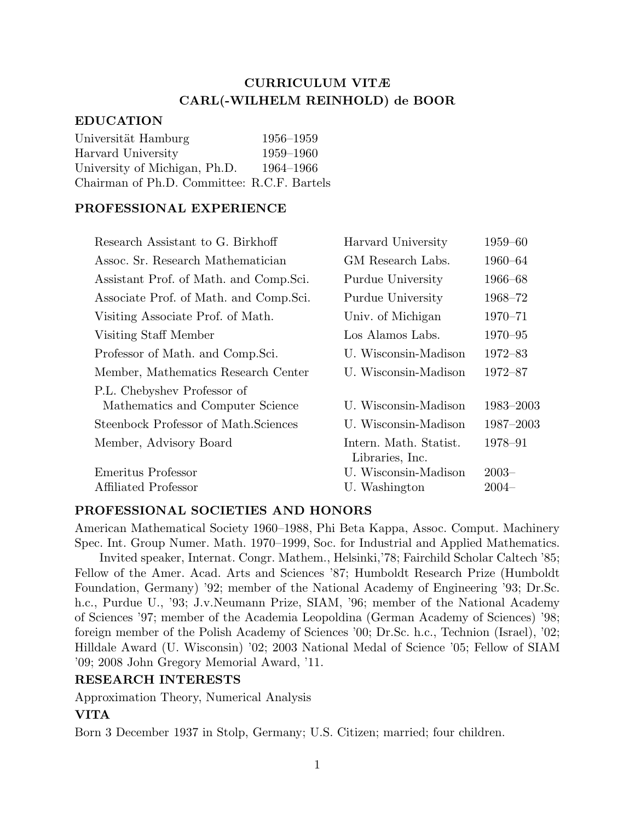# CURRICULUM VITÆ CARL(-WILHELM REINHOLD) de BOOR

#### EDUCATION

| Universität Hamburg                         | 1956-1959 |
|---------------------------------------------|-----------|
| Harvard University                          | 1959-1960 |
| University of Michigan, Ph.D.               | 1964-1966 |
| Chairman of Ph.D. Committee: R.C.F. Bartels |           |

## PROFESSIONAL EXPERIENCE

| Research Assistant to G. Birkhoff       | Harvard University                        | $1959 - 60$ |
|-----------------------------------------|-------------------------------------------|-------------|
| Assoc. Sr. Research Mathematician       | GM Research Labs.                         | 1960–64     |
| Assistant Prof. of Math. and Comp. Sci. | Purdue University                         | 1966–68     |
| Associate Prof. of Math. and Comp. Sci. | Purdue University                         | 1968–72     |
| Visiting Associate Prof. of Math.       | Univ. of Michigan                         | $1970 - 71$ |
| Visiting Staff Member                   | Los Alamos Labs.                          | $1970 - 95$ |
| Professor of Math. and Comp. Sci.       | U. Wisconsin-Madison                      | $1972 - 83$ |
| Member, Mathematics Research Center     | U. Wisconsin-Madison                      | 1972-87     |
| P.L. Chebyshev Professor of             |                                           |             |
| Mathematics and Computer Science        | U. Wisconsin-Madison                      | 1983-2003   |
| Steenbock Professor of Math. Sciences   | U. Wisconsin-Madison                      | 1987-2003   |
| Member, Advisory Board                  | Intern. Math. Statist.<br>Libraries, Inc. | 1978-91     |
| Emeritus Professor                      | U. Wisconsin-Madison                      | $2003-$     |
| Affiliated Professor                    | U. Washington                             | $2004 -$    |

## PROFESSIONAL SOCIETIES AND HONORS

American Mathematical Society 1960–1988, Phi Beta Kappa, Assoc. Comput. Machinery Spec. Int. Group Numer. Math. 1970–1999, Soc. for Industrial and Applied Mathematics.

Invited speaker, Internat. Congr. Mathem., Helsinki,'78; Fairchild Scholar Caltech '85; Fellow of the Amer. Acad. Arts and Sciences '87; Humboldt Research Prize (Humboldt Foundation, Germany) '92; member of the National Academy of Engineering '93; Dr.Sc. h.c., Purdue U., '93; J.v.Neumann Prize, SIAM, '96; member of the National Academy of Sciences '97; member of the Academia Leopoldina (German Academy of Sciences) '98; foreign member of the Polish Academy of Sciences '00; Dr.Sc. h.c., Technion (Israel), '02; Hilldale Award (U. Wisconsin) '02; 2003 National Medal of Science '05; Fellow of SIAM '09; 2008 John Gregory Memorial Award, '11.

## RESEARCH INTERESTS

Approximation Theory, Numerical Analysis

## VITA

Born 3 December 1937 in Stolp, Germany; U.S. Citizen; married; four children.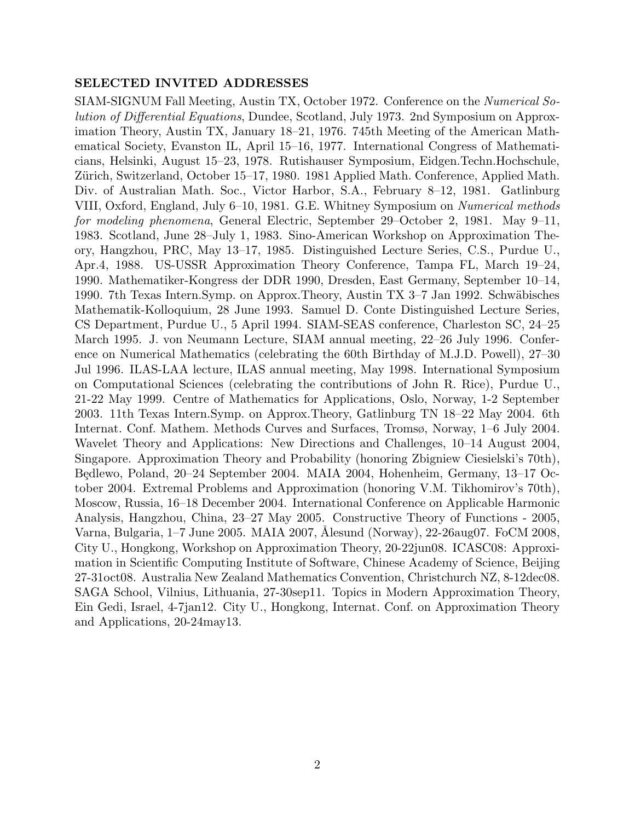## SELECTED INVITED ADDRESSES

SIAM-SIGNUM Fall Meeting, Austin TX, October 1972. Conference on the Numerical Solution of Differential Equations, Dundee, Scotland, July 1973. 2nd Symposium on Approximation Theory, Austin TX, January 18–21, 1976. 745th Meeting of the American Mathematical Society, Evanston IL, April 15–16, 1977. International Congress of Mathematicians, Helsinki, August 15–23, 1978. Rutishauser Symposium, Eidgen.Techn.Hochschule, Zürich, Switzerland, October 15–17, 1980. 1981 Applied Math. Conference, Applied Math. Div. of Australian Math. Soc., Victor Harbor, S.A., February 8–12, 1981. Gatlinburg VIII, Oxford, England, July 6–10, 1981. G.E. Whitney Symposium on Numerical methods for modeling phenomena, General Electric, September 29–October 2, 1981. May 9–11, 1983. Scotland, June 28–July 1, 1983. Sino-American Workshop on Approximation Theory, Hangzhou, PRC, May 13–17, 1985. Distinguished Lecture Series, C.S., Purdue U., Apr.4, 1988. US-USSR Approximation Theory Conference, Tampa FL, March 19–24, 1990. Mathematiker-Kongress der DDR 1990, Dresden, East Germany, September 10–14, 1990. 7th Texas Intern. Symp. on Approx. Theory, Austin TX 3–7 Jan 1992. Schwäbisches Mathematik-Kolloquium, 28 June 1993. Samuel D. Conte Distinguished Lecture Series, CS Department, Purdue U., 5 April 1994. SIAM-SEAS conference, Charleston SC, 24–25 March 1995. J. von Neumann Lecture, SIAM annual meeting, 22–26 July 1996. Conference on Numerical Mathematics (celebrating the 60th Birthday of M.J.D. Powell), 27–30 Jul 1996. ILAS-LAA lecture, ILAS annual meeting, May 1998. International Symposium on Computational Sciences (celebrating the contributions of John R. Rice), Purdue U., 21-22 May 1999. Centre of Mathematics for Applications, Oslo, Norway, 1-2 September 2003. 11th Texas Intern.Symp. on Approx.Theory, Gatlinburg TN 18–22 May 2004. 6th Internat. Conf. Mathem. Methods Curves and Surfaces, Tromsø, Norway, 1–6 July 2004. Wavelet Theory and Applications: New Directions and Challenges, 10–14 August 2004, Singapore. Approximation Theory and Probability (honoring Zbigniew Ciesielski's 70th), Będlewo, Poland, 20–24 September 2004. MAIA 2004, Hohenheim, Germany, 13–17 October 2004. Extremal Problems and Approximation (honoring V.M. Tikhomirov's 70th), Moscow, Russia, 16–18 December 2004. International Conference on Applicable Harmonic Analysis, Hangzhou, China, 23–27 May 2005. Constructive Theory of Functions - 2005, Varna, Bulgaria, 1–7 June 2005. MAIA 2007, Alesund (Norway), 22-26aug07. FoCM 2008, City U., Hongkong, Workshop on Approximation Theory, 20-22jun08. ICASC08: Approximation in Scientific Computing Institute of Software, Chinese Academy of Science, Beijing 27-31oct08. Australia New Zealand Mathematics Convention, Christchurch NZ, 8-12dec08. SAGA School, Vilnius, Lithuania, 27-30sep11. Topics in Modern Approximation Theory, Ein Gedi, Israel, 4-7jan12. City U., Hongkong, Internat. Conf. on Approximation Theory and Applications, 20-24may13.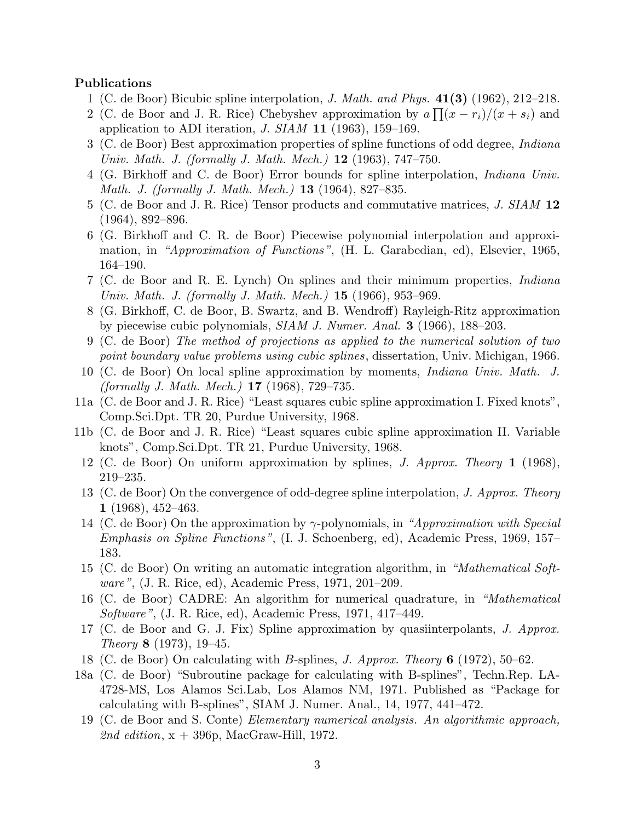#### Publications

- 1 (C. de Boor) Bicubic spline interpolation, J. Math. and Phys. 41(3) (1962), 212–218.
- 2 (C. de Boor and J. R. Rice) Chebyshev approximation by  $a \prod (x r_i)/(x + s_i)$  and application to ADI iteration,  $J. SIAM$  11 (1963), 159-169.
- 3 (C. de Boor) Best approximation properties of spline functions of odd degree, Indiana Univ. Math. J. (formally J. Math. Mech.) **12** (1963), 747–750.
- 4 (G. Birkhoff and C. de Boor) Error bounds for spline interpolation, Indiana Univ. Math. J. (formally J. Math. Mech.) 13 (1964), 827–835.
- 5 (C. de Boor and J. R. Rice) Tensor products and commutative matrices, J. SIAM 12 (1964), 892–896.
- 6 (G. Birkhoff and C. R. de Boor) Piecewise polynomial interpolation and approximation, in "Approximation of Functions", (H. L. Garabedian, ed), Elsevier, 1965, 164–190.
- 7 (C. de Boor and R. E. Lynch) On splines and their minimum properties, Indiana Univ. Math. J. (formally J. Math. Mech.) **15** (1966), 953–969.
- 8 (G. Birkhoff, C. de Boor, B. Swartz, and B. Wendroff) Rayleigh-Ritz approximation by piecewise cubic polynomials, SIAM J. Numer. Anal. 3 (1966), 188–203.
- 9 (C. de Boor) The method of projections as applied to the numerical solution of two point boundary value problems using cubic splines, dissertation, Univ. Michigan, 1966.
- 10 (C. de Boor) On local spline approximation by moments, Indiana Univ. Math. J. (formally J. Math. Mech.) 17 (1968), 729–735.
- 11a (C. de Boor and J. R. Rice) "Least squares cubic spline approximation I. Fixed knots", Comp.Sci.Dpt. TR 20, Purdue University, 1968.
- 11b (C. de Boor and J. R. Rice) "Least squares cubic spline approximation II. Variable knots", Comp.Sci.Dpt. TR 21, Purdue University, 1968.
- 12 (C. de Boor) On uniform approximation by splines, J. Approx. Theory 1 (1968), 219–235.
- 13 (C. de Boor) On the convergence of odd-degree spline interpolation, J. Approx. Theory 1 (1968), 452–463.
- 14 (C. de Boor) On the approximation by  $\gamma$ -polynomials, in "Approximation with Special Emphasis on Spline Functions", (I. J. Schoenberg, ed), Academic Press, 1969, 157– 183.
- 15 (C. de Boor) On writing an automatic integration algorithm, in "Mathematical Software", (J. R. Rice, ed), Academic Press, 1971, 201–209.
- 16 (C. de Boor) CADRE: An algorithm for numerical quadrature, in "Mathematical Software", (J. R. Rice, ed), Academic Press, 1971, 417–449.
- 17 (C. de Boor and G. J. Fix) Spline approximation by quasiinterpolants, J. Approx. Theory 8 (1973), 19–45.
- 18 (C. de Boor) On calculating with B-splines, J. Approx. Theory 6 (1972), 50–62.
- 18a (C. de Boor) "Subroutine package for calculating with B-splines", Techn.Rep. LA-4728-MS, Los Alamos Sci.Lab, Los Alamos NM, 1971. Published as "Package for calculating with B-splines", SIAM J. Numer. Anal., 14, 1977, 441–472.
- 19 (C. de Boor and S. Conte) Elementary numerical analysis. An algorithmic approach, 2nd edition,  $x + 396p$ , MacGraw-Hill, 1972.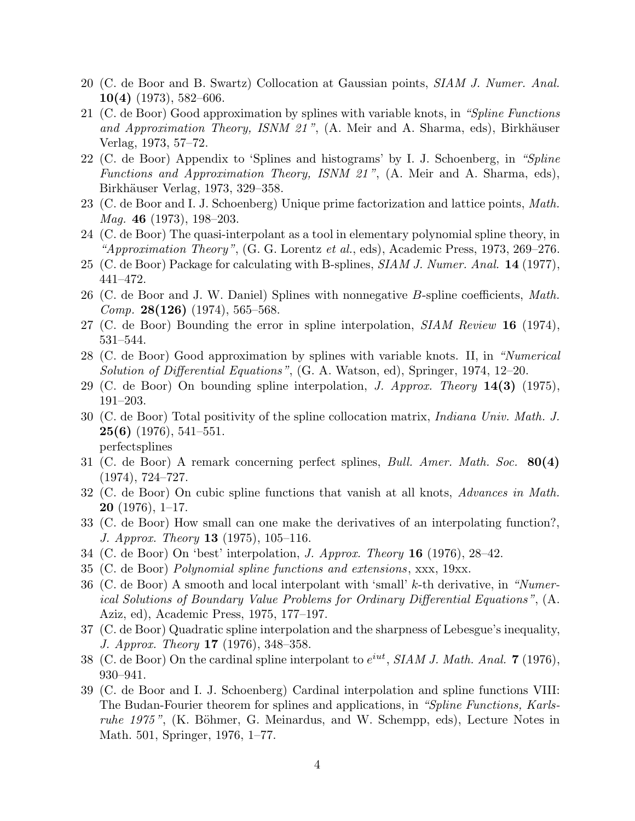- 20 (C. de Boor and B. Swartz) Collocation at Gaussian points, SIAM J. Numer. Anal.  $10(4)$  (1973), 582–606.
- 21 (C. de Boor) Good approximation by splines with variable knots, in "Spline Functions and Approximation Theory, ISNM  $21$ ", (A. Meir and A. Sharma, eds), Birkhäuser Verlag, 1973, 57–72.
- 22 (C. de Boor) Appendix to 'Splines and histograms' by I. J. Schoenberg, in "Spline Functions and Approximation Theory, ISNM 21 ", (A. Meir and A. Sharma, eds), Birkhäuser Verlag, 1973, 329–358.
- 23 (C. de Boor and I. J. Schoenberg) Unique prime factorization and lattice points, Math. Mag. 46 (1973), 198–203.
- 24 (C. de Boor) The quasi-interpolant as a tool in elementary polynomial spline theory, in "Approximation Theory",  $(G. G.$  Lorentz et al., eds), Academic Press, 1973, 269–276.
- 25 (C. de Boor) Package for calculating with B-splines, SIAM J. Numer. Anal. 14 (1977), 441–472.
- 26 (C. de Boor and J. W. Daniel) Splines with nonnegative  $B$ -spline coefficients, *Math. Comp.* **28(126)** (1974), 565–568.
- 27 (C. de Boor) Bounding the error in spline interpolation, *SIAM Review* 16 (1974), 531–544.
- 28 (C. de Boor) Good approximation by splines with variable knots. II, in "Numerical Solution of Differential Equations", (G. A. Watson, ed), Springer, 1974, 12–20.
- 29 (C. de Boor) On bounding spline interpolation, *J. Approx. Theory*  $14(3)$  (1975), 191–203.
- 30 (C. de Boor) Total positivity of the spline collocation matrix, Indiana Univ. Math. J.  $25(6)$  (1976), 541–551. perfectsplines
- 31 (C. de Boor) A remark concerning perfect splines, Bull. Amer. Math. Soc. 80(4) (1974), 724–727.
- 32 (C. de Boor) On cubic spline functions that vanish at all knots, Advances in Math. **20** (1976), 1–17.
- 33 (C. de Boor) How small can one make the derivatives of an interpolating function?, J. Approx. Theory 13 (1975), 105–116.
- 34 (C. de Boor) On 'best' interpolation, J. Approx. Theory 16 (1976), 28–42.
- 35 (C. de Boor) Polynomial spline functions and extensions, xxx, 19xx.
- 36 (C. de Boor) A smooth and local interpolant with 'small' k-th derivative, in "Numerical Solutions of Boundary Value Problems for Ordinary Differential Equations", (A. Aziz, ed), Academic Press, 1975, 177–197.
- 37 (C. de Boor) Quadratic spline interpolation and the sharpness of Lebesgue's inequality, J. Approx. Theory 17 (1976), 348–358.
- 38 (C. de Boor) On the cardinal spline interpolant to  $e^{iut}$ , SIAM J. Math. Anal. 7 (1976), 930–941.
- 39 (C. de Boor and I. J. Schoenberg) Cardinal interpolation and spline functions VIII: The Budan-Fourier theorem for splines and applications, in "Spline Functions, Karlsruhe 1975", (K. Böhmer, G. Meinardus, and W. Schempp, eds), Lecture Notes in Math. 501, Springer, 1976, 1–77.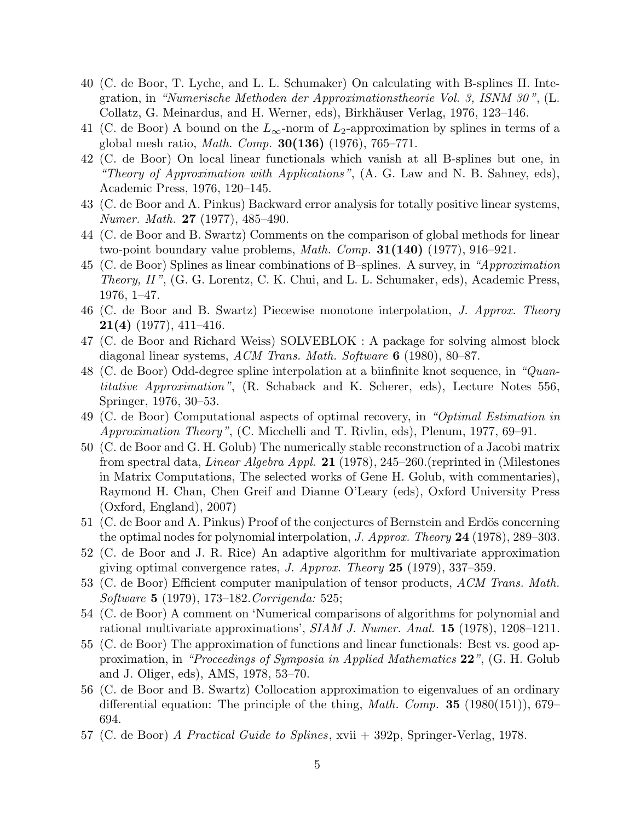- 40 (C. de Boor, T. Lyche, and L. L. Schumaker) On calculating with B-splines II. Integration, in "Numerische Methoden der Approximationstheorie Vol. 3, ISNM 30 ", (L. Collatz, G. Meinardus, and H. Werner, eds), Birkhäuser Verlag, 1976, 123–146.
- 41 (C. de Boor) A bound on the  $L_{\infty}$ -norm of  $L_2$ -approximation by splines in terms of a global mesh ratio, *Math. Comp.* **30(136)** (1976), 765–771.
- 42 (C. de Boor) On local linear functionals which vanish at all B-splines but one, in "Theory of Approximation with Applications", (A. G. Law and N. B. Sahney, eds), Academic Press, 1976, 120–145.
- 43 (C. de Boor and A. Pinkus) Backward error analysis for totally positive linear systems, Numer. Math. 27 (1977), 485–490.
- 44 (C. de Boor and B. Swartz) Comments on the comparison of global methods for linear two-point boundary value problems, *Math. Comp.* **31(140)** (1977), 916–921.
- 45 (C. de Boor) Splines as linear combinations of B–splines. A survey, in "Approximation Theory, II ", (G. G. Lorentz, C. K. Chui, and L. L. Schumaker, eds), Academic Press, 1976, 1–47.
- 46 (C. de Boor and B. Swartz) Piecewise monotone interpolation, J. Approx. Theory **21(4)** (1977), 411–416.
- 47 (C. de Boor and Richard Weiss) SOLVEBLOK : A package for solving almost block diagonal linear systems, ACM Trans. Math. Software  $6$  (1980), 80–87.
- 48 (C. de Boor) Odd-degree spline interpolation at a biinfinite knot sequence, in "Quantitative Approximation", (R. Schaback and K. Scherer, eds), Lecture Notes 556, Springer, 1976, 30–53.
- 49 (C. de Boor) Computational aspects of optimal recovery, in "Optimal Estimation in Approximation Theory", (C. Micchelli and T. Rivlin, eds), Plenum, 1977, 69–91.
- 50 (C. de Boor and G. H. Golub) The numerically stable reconstruction of a Jacobi matrix from spectral data, *Linear Algebra Appl.* **21** (1978), 245–260. (reprinted in (Milestones in Matrix Computations, The selected works of Gene H. Golub, with commentaries), Raymond H. Chan, Chen Greif and Dianne O'Leary (eds), Oxford University Press (Oxford, England), 2007)
- 51 (C. de Boor and A. Pinkus) Proof of the conjectures of Bernstein and Erdös concerning the optimal nodes for polynomial interpolation, J. Approx. Theory 24 (1978), 289–303.
- 52 (C. de Boor and J. R. Rice) An adaptive algorithm for multivariate approximation giving optimal convergence rates,  $J.$  Approx. Theory  $25$  (1979), 337-359.
- 53 (C. de Boor) Efficient computer manipulation of tensor products, ACM Trans. Math. Software 5 (1979), 173–182.Corrigenda: 525;
- 54 (C. de Boor) A comment on 'Numerical comparisons of algorithms for polynomial and rational multivariate approximations', SIAM J. Numer. Anal. 15 (1978), 1208-1211.
- 55 (C. de Boor) The approximation of functions and linear functionals: Best vs. good approximation, in "Proceedings of Symposia in Applied Mathematics  $22$ ", (G. H. Golub and J. Oliger, eds), AMS, 1978, 53–70.
- 56 (C. de Boor and B. Swartz) Collocation approximation to eigenvalues of an ordinary differential equation: The principle of the thing, *Math. Comp.* **35** (1980(151)), 679– 694.
- 57 (C. de Boor) A Practical Guide to Splines, xvii + 392p, Springer-Verlag, 1978.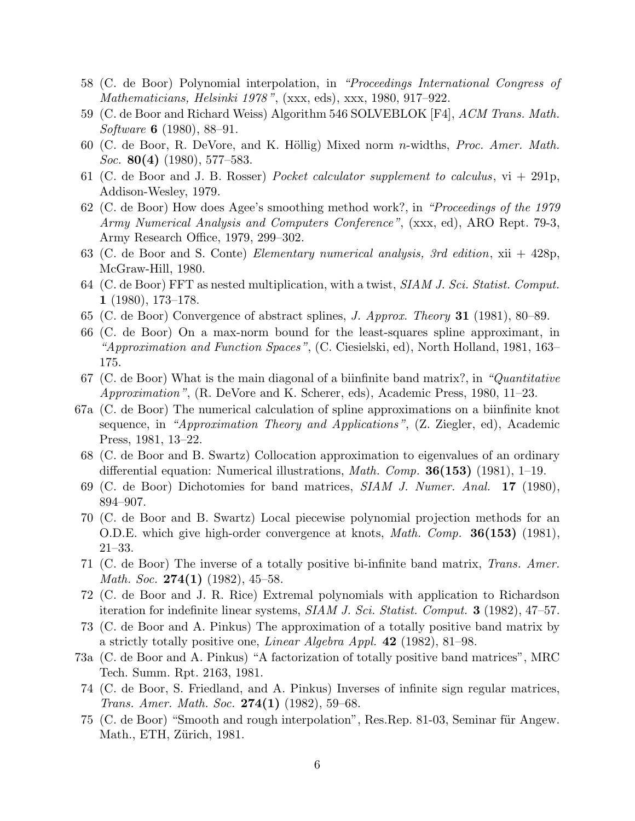- 58 (C. de Boor) Polynomial interpolation, in "Proceedings International Congress of Mathematicians, Helsinki 1978 ", (xxx, eds), xxx, 1980, 917–922.
- 59 (C. de Boor and Richard Weiss) Algorithm 546 SOLVEBLOK [F4], ACM Trans. Math. Software 6 (1980), 88–91.
- 60 (C. de Boor, R. DeVore, and K. Höllig) Mixed norm n-widths, *Proc. Amer. Math.* Soc. 80(4) (1980), 577–583.
- 61 (C. de Boor and J. B. Rosser) Pocket calculator supplement to calculus,  $vi + 291p$ , Addison-Wesley, 1979.
- 62 (C. de Boor) How does Agee's smoothing method work?, in "Proceedings of the 1979 Army Numerical Analysis and Computers Conference", (xxx, ed), ARO Rept. 79-3, Army Research Office, 1979, 299–302.
- 63 (C. de Boor and S. Conte) Elementary numerical analysis, 3rd edition, xii + 428p, McGraw-Hill, 1980.
- 64 (C. de Boor) FFT as nested multiplication, with a twist, SIAM J. Sci. Statist. Comput. 1 (1980), 173–178.
- 65 (C. de Boor) Convergence of abstract splines, J. Approx. Theory 31 (1981), 80–89.
- 66 (C. de Boor) On a max-norm bound for the least-squares spline approximant, in "Approximation and Function Spaces", (C. Ciesielski, ed), North Holland, 1981, 163– 175.
- 67 (C. de Boor) What is the main diagonal of a biinfinite band matrix?, in "*Quantitative* Approximation", (R. DeVore and K. Scherer, eds), Academic Press, 1980, 11–23.
- 67a (C. de Boor) The numerical calculation of spline approximations on a biinfinite knot sequence, in "Approximation Theory and Applications", (Z. Ziegler, ed), Academic Press, 1981, 13–22.
- 68 (C. de Boor and B. Swartz) Collocation approximation to eigenvalues of an ordinary differential equation: Numerical illustrations, *Math. Comp.* **36(153)** (1981), 1–19.
- 69 (C. de Boor) Dichotomies for band matrices, SIAM J. Numer. Anal. 17 (1980), 894–907.
- 70 (C. de Boor and B. Swartz) Local piecewise polynomial projection methods for an O.D.E. which give high-order convergence at knots, *Math. Comp.* **36(153)** (1981), 21–33.
- 71 (C. de Boor) The inverse of a totally positive bi-infinite band matrix, Trans. Amer. *Math. Soc.* 274(1)  $(1982)$ , 45–58.
- 72 (C. de Boor and J. R. Rice) Extremal polynomials with application to Richardson iteration for indefinite linear systems, SIAM J. Sci. Statist. Comput. 3 (1982), 47–57.
- 73 (C. de Boor and A. Pinkus) The approximation of a totally positive band matrix by a strictly totally positive one, Linear Algebra Appl. 42 (1982), 81–98.
- 73a (C. de Boor and A. Pinkus) "A factorization of totally positive band matrices", MRC Tech. Summ. Rpt. 2163, 1981.
- 74 (C. de Boor, S. Friedland, and A. Pinkus) Inverses of infinite sign regular matrices, Trans. Amer. Math. Soc. 274(1) (1982), 59-68.
- 75 (C. de Boor) "Smooth and rough interpolation", Res.Rep. 81-03, Seminar für Angew. Math., ETH, Zürich, 1981.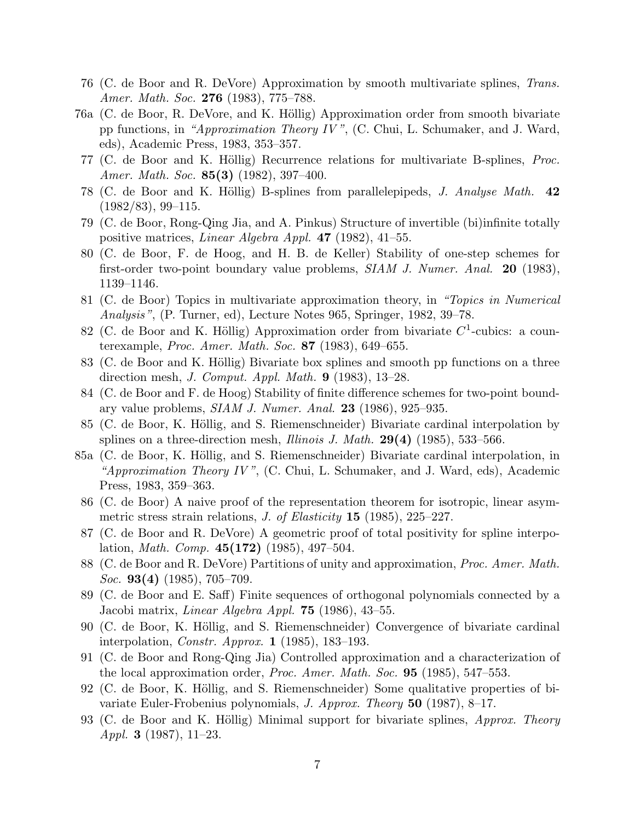- 76 (C. de Boor and R. DeVore) Approximation by smooth multivariate splines, Trans. Amer. Math. Soc. **276** (1983), 775–788.
- 76a (C. de Boor, R. DeVore, and K. Höllig) Approximation order from smooth bivariate pp functions, in "Approximation Theory IV ", (C. Chui, L. Schumaker, and J. Ward, eds), Academic Press, 1983, 353–357.
- 77 (C. de Boor and K. Höllig) Recurrence relations for multivariate B-splines, *Proc.* Amer. Math. Soc. 85(3) (1982), 397–400.
- 78 (C. de Boor and K. Höllig) B-splines from parallelepipeds, *J. Analyse Math.* 42  $(1982/83), 99-115.$
- 79 (C. de Boor, Rong-Qing Jia, and A. Pinkus) Structure of invertible (bi)infinite totally positive matrices, Linear Algebra Appl. 47 (1982), 41–55.
- 80 (C. de Boor, F. de Hoog, and H. B. de Keller) Stability of one-step schemes for first-order two-point boundary value problems, SIAM J. Numer. Anal. 20 (1983), 1139–1146.
- 81 (C. de Boor) Topics in multivariate approximation theory, in "Topics in Numerical Analysis", (P. Turner, ed), Lecture Notes 965, Springer, 1982, 39–78.
- 82 (C. de Boor and K. Höllig) Approximation order from bivariate  $C^1$ -cubics: a counterexample, Proc. Amer. Math. Soc. 87 (1983), 649-655.
- 83 (C. de Boor and K. Höllig) Bivariate box splines and smooth pp functions on a three direction mesh, *J. Comput. Appl. Math.* **9** (1983),  $13-28$ .
- 84 (C. de Boor and F. de Hoog) Stability of finite difference schemes for two-point boundary value problems, SIAM J. Numer. Anal. 23 (1986), 925–935.
- 85 (C. de Boor, K. Höllig, and S. Riemenschneider) Bivariate cardinal interpolation by splines on a three-direction mesh, *Illinois J. Math.* **29(4)** (1985), 533–566.
- 85a (C. de Boor, K. Höllig, and S. Riemenschneider) Bivariate cardinal interpolation, in "Approximation Theory IV",  $(C. Chui, L. Schumaker, and J. Ward, eds), Academic$ Press, 1983, 359–363.
- 86 (C. de Boor) A naive proof of the representation theorem for isotropic, linear asymmetric stress strain relations, J. of Elasticity  $15$  (1985), 225–227.
- 87 (C. de Boor and R. DeVore) A geometric proof of total positivity for spline interpolation, *Math. Comp.*  $45(172)$  (1985), 497-504.
- 88 (C. de Boor and R. DeVore) Partitions of unity and approximation, Proc. Amer. Math. *Soc.* **93(4)** (1985), 705–709.
- 89 (C. de Boor and E. Saff) Finite sequences of orthogonal polynomials connected by a Jacobi matrix, Linear Algebra Appl. 75 (1986), 43–55.
- 90 (C. de Boor, K. Höllig, and S. Riemenschneider) Convergence of bivariate cardinal interpolation, Constr. Approx. 1 (1985), 183–193.
- 91 (C. de Boor and Rong-Qing Jia) Controlled approximation and a characterization of the local approximation order, *Proc. Amer. Math. Soc.* **95** (1985), 547–553.
- 92 (C. de Boor, K. Höllig, and S. Riemenschneider) Some qualitative properties of bivariate Euler-Frobenius polynomials, J. Approx. Theory 50 (1987), 8–17.
- 93 (C. de Boor and K. Höllig) Minimal support for bivariate splines, Approx. Theory Appl. 3 (1987), 11–23.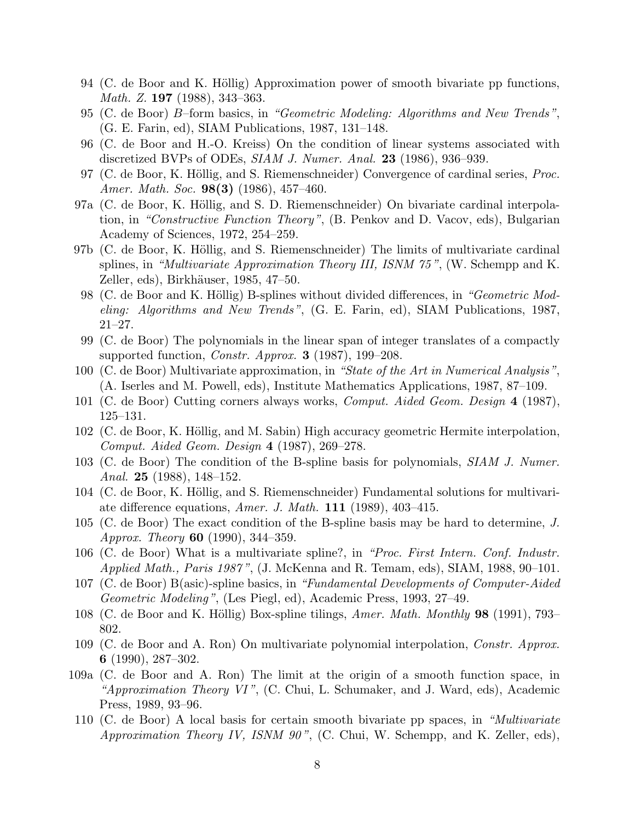- 94 (C. de Boor and K. Höllig) Approximation power of smooth bivariate pp functions, Math. Z. 197 (1988), 343–363.
- 95 (C. de Boor) B–form basics, in "Geometric Modeling: Algorithms and New Trends", (G. E. Farin, ed), SIAM Publications, 1987, 131–148.
- 96 (C. de Boor and H.-O. Kreiss) On the condition of linear systems associated with discretized BVPs of ODEs, SIAM J. Numer. Anal. 23 (1986), 936–939.
- 97 (C. de Boor, K. Höllig, and S. Riemenschneider) Convergence of cardinal series, *Proc.* Amer. Math. Soc. **98(3)** (1986), 457-460.
- 97a (C. de Boor, K. Höllig, and S. D. Riemenschneider) On bivariate cardinal interpolation, in "Constructive Function Theory", (B. Penkov and D. Vacov, eds), Bulgarian Academy of Sciences, 1972, 254–259.
- 97b (C. de Boor, K. Höllig, and S. Riemenschneider) The limits of multivariate cardinal splines, in "*Multivariate Approximation Theory III, ISNM*  $75$ *",* (W. Schempp and K. Zeller, eds), Birkhäuser, 1985, 47–50.
- 98 (C. de Boor and K. Höllig) B-splines without divided differences, in "Geometric Modeling: Algorithms and New Trends", (G. E. Farin, ed), SIAM Publications, 1987, 21–27.
- 99 (C. de Boor) The polynomials in the linear span of integer translates of a compactly supported function, *Constr. Approx.* **3** (1987), 199–208.
- 100 (C. de Boor) Multivariate approximation, in "State of the Art in Numerical Analysis", (A. Iserles and M. Powell, eds), Institute Mathematics Applications, 1987, 87–109.
- 101 (C. de Boor) Cutting corners always works, Comput. Aided Geom. Design 4 (1987), 125–131.
- 102 (C. de Boor, K. Höllig, and M. Sabin) High accuracy geometric Hermite interpolation, Comput. Aided Geom. Design 4 (1987), 269–278.
- 103 (C. de Boor) The condition of the B-spline basis for polynomials, SIAM J. Numer. Anal. 25 (1988), 148–152.
- 104 (C. de Boor, K. Höllig, and S. Riemenschneider) Fundamental solutions for multivariate difference equations, Amer. J. Math.  $111$  (1989), 403-415.
- 105 (C. de Boor) The exact condition of the B-spline basis may be hard to determine, J. Approx. Theory 60 (1990), 344–359.
- 106 (C. de Boor) What is a multivariate spline?, in "Proc. First Intern. Conf. Industr. Applied Math., Paris 1987 ", (J. McKenna and R. Temam, eds), SIAM, 1988, 90–101.
- 107 (C. de Boor) B(asic)-spline basics, in "Fundamental Developments of Computer-Aided Geometric Modeling", (Les Piegl, ed), Academic Press, 1993, 27–49.
- 108 (C. de Boor and K. Höllig) Box-spline tilings, Amer. Math. Monthly 98 (1991), 793– 802.
- 109 (C. de Boor and A. Ron) On multivariate polynomial interpolation, Constr. Approx. 6 (1990), 287–302.
- 109a (C. de Boor and A. Ron) The limit at the origin of a smooth function space, in "Approximation Theory VI",  $(C. Chui, L. Schumaker, and J. Ward, eds)$ , Academic Press, 1989, 93–96.
- 110 (C. de Boor) A local basis for certain smooth bivariate pp spaces, in "Multivariate Approximation Theory IV, ISNM 90", (C. Chui, W. Schempp, and K. Zeller, eds),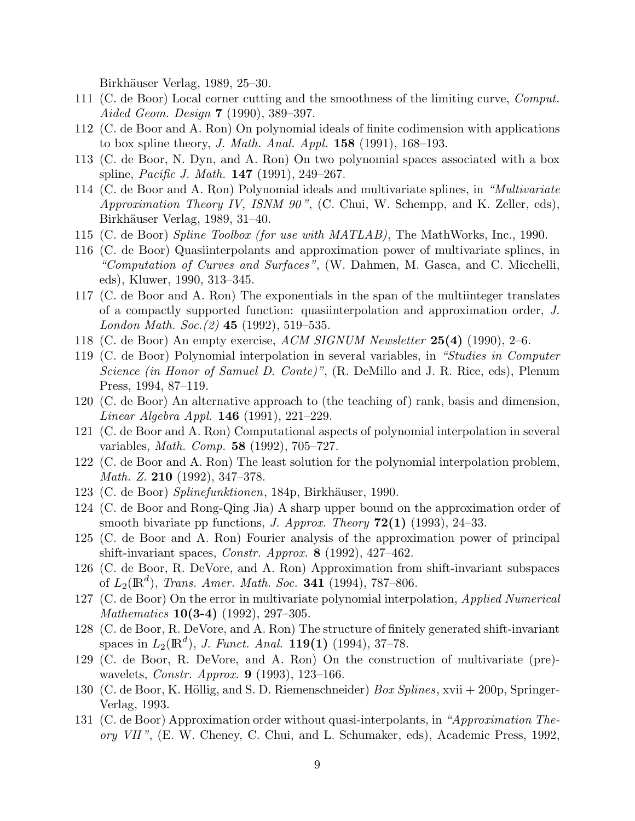Birkhäuser Verlag, 1989, 25–30.

- 111 (C. de Boor) Local corner cutting and the smoothness of the limiting curve, Comput. Aided Geom. Design 7 (1990), 389–397.
- 112 (C. de Boor and A. Ron) On polynomial ideals of finite codimension with applications to box spline theory, J. Math. Anal. Appl.  $158$  (1991), 168–193.
- 113 (C. de Boor, N. Dyn, and A. Ron) On two polynomial spaces associated with a box spline, *Pacific J. Math.* **147** (1991), 249–267.
- 114 (C. de Boor and A. Ron) Polynomial ideals and multivariate splines, in "Multivariate Approximation Theory IV, ISNM 90", (C. Chui, W. Schempp, and K. Zeller, eds), Birkhäuser Verlag, 1989, 31–40.
- 115 (C. de Boor) Spline Toolbox (for use with MATLAB), The MathWorks, Inc., 1990.
- 116 (C. de Boor) Quasiinterpolants and approximation power of multivariate splines, in "Computation of Curves and Surfaces", (W. Dahmen, M. Gasca, and C. Micchelli, eds), Kluwer, 1990, 313–345.
- 117 (C. de Boor and A. Ron) The exponentials in the span of the multiinteger translates of a compactly supported function: quasiinterpolation and approximation order, J. London Math. Soc.  $(2)$  45 (1992), 519–535.
- 118 (C. de Boor) An empty exercise,  $ACM$  SIGNUM Newsletter  $25(4)$  (1990), 2–6.
- 119 (C. de Boor) Polynomial interpolation in several variables, in "Studies in Computer Science (in Honor of Samuel D. Conte)", (R. DeMillo and J. R. Rice, eds), Plenum Press, 1994, 87–119.
- 120 (C. de Boor) An alternative approach to (the teaching of) rank, basis and dimension, Linear Algebra Appl. 146 (1991), 221–229.
- 121 (C. de Boor and A. Ron) Computational aspects of polynomial interpolation in several variables, Math. Comp. 58 (1992), 705–727.
- 122 (C. de Boor and A. Ron) The least solution for the polynomial interpolation problem, Math. Z. 210 (1992), 347–378.
- 123 (C. de Boor) Splinefunktionen, 184p, Birkhäuser, 1990.
- 124 (C. de Boor and Rong-Qing Jia) A sharp upper bound on the approximation order of smooth bivariate pp functions, *J. Approx. Theory*  $72(1)$  (1993), 24–33.
- 125 (C. de Boor and A. Ron) Fourier analysis of the approximation power of principal shift-invariant spaces, *Constr. Approx.* **8** (1992), 427-462.
- 126 (C. de Boor, R. DeVore, and A. Ron) Approximation from shift-invariant subspaces of  $L_2(\mathbb{R}^d)$ , Trans. Amer. Math. Soc. 341 (1994), 787–806.
- 127 (C. de Boor) On the error in multivariate polynomial interpolation, Applied Numerical *Mathematics* **10(3-4)** (1992), 297-305.
- 128 (C. de Boor, R. DeVore, and A. Ron) The structure of finitely generated shift-invariant spaces in  $L_2(\mathbb{R}^d)$ , J. Funct. Anal. 119(1) (1994), 37–78.
- 129 (C. de Boor, R. DeVore, and A. Ron) On the construction of multivariate (pre) wavelets, *Constr. Approx.* **9** (1993), 123-166.
- 130 (C. de Boor, K. Höllig, and S. D. Riemenschneider)  $Box Splines$ , xvii + 200p, Springer-Verlag, 1993.
- 131 (C. de Boor) Approximation order without quasi-interpolants, in "Approximation Theory VII ", (E. W. Cheney, C. Chui, and L. Schumaker, eds), Academic Press, 1992,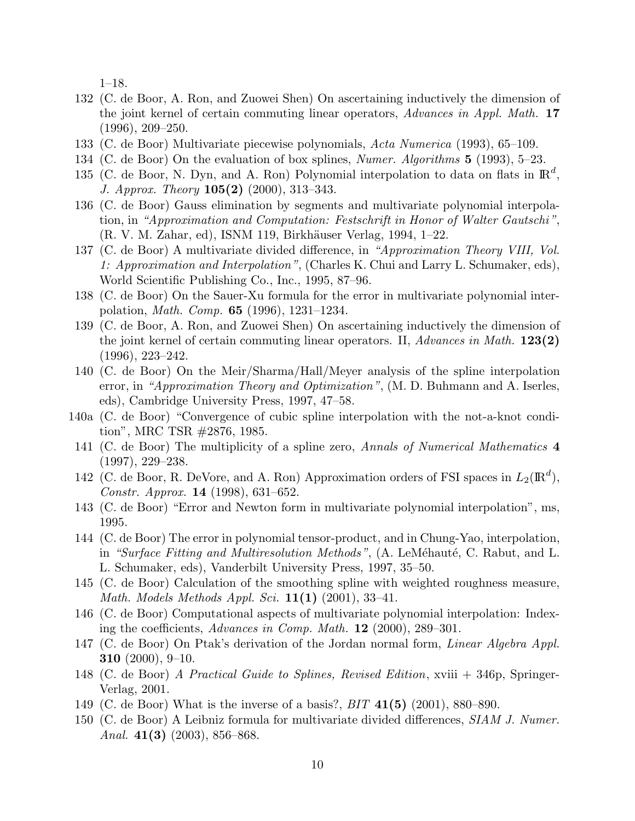1–18.

- 132 (C. de Boor, A. Ron, and Zuowei Shen) On ascertaining inductively the dimension of the joint kernel of certain commuting linear operators, Advances in Appl. Math. 17 (1996), 209–250.
- 133 (C. de Boor) Multivariate piecewise polynomials, Acta Numerica (1993), 65–109.
- 134 (C. de Boor) On the evaluation of box splines, Numer. Algorithms 5 (1993), 5–23.
- 135 (C. de Boor, N. Dyn, and A. Ron) Polynomial interpolation to data on flats in  $\mathbb{R}^d$ , J. Approx. Theory 105(2) (2000), 313–343.
- 136 (C. de Boor) Gauss elimination by segments and multivariate polynomial interpolation, in "Approximation and Computation: Festschrift in Honor of Walter Gautschi ", (R. V. M. Zahar, ed), ISNM 119, Birkhäuser Verlag, 1994, 1–22.
- 137 (C. de Boor) A multivariate divided difference, in "Approximation Theory VIII, Vol. 1: Approximation and Interpolation", (Charles K. Chui and Larry L. Schumaker, eds), World Scientific Publishing Co., Inc., 1995, 87–96.
- 138 (C. de Boor) On the Sauer-Xu formula for the error in multivariate polynomial interpolation, Math. Comp. 65 (1996), 1231–1234.
- 139 (C. de Boor, A. Ron, and Zuowei Shen) On ascertaining inductively the dimension of the joint kernel of certain commuting linear operators. II,  $Advances$  in Math. **123(2)** (1996), 223–242.
- 140 (C. de Boor) On the Meir/Sharma/Hall/Meyer analysis of the spline interpolation error, in "Approximation Theory and Optimization", (M. D. Buhmann and A. Iserles, eds), Cambridge University Press, 1997, 47–58.
- 140a (C. de Boor) "Convergence of cubic spline interpolation with the not-a-knot condition", MRC TSR #2876, 1985.
- 141 (C. de Boor) The multiplicity of a spline zero, Annals of Numerical Mathematics 4 (1997), 229–238.
- 142 (C. de Boor, R. DeVore, and A. Ron) Approximation orders of FSI spaces in  $L_2(\mathbb{R}^d)$ , Constr. Approx. 14 (1998), 631–652.
- 143 (C. de Boor) "Error and Newton form in multivariate polynomial interpolation", ms, 1995.
- 144 (C. de Boor) The error in polynomial tensor-product, and in Chung-Yao, interpolation, in "Surface Fitting and Multiresolution Methods", (A. LeMéhauté, C. Rabut, and L. L. Schumaker, eds), Vanderbilt University Press, 1997, 35–50.
- 145 (C. de Boor) Calculation of the smoothing spline with weighted roughness measure, Math. Models Methods Appl. Sci.  $11(1)$  (2001), 33-41.
- 146 (C. de Boor) Computational aspects of multivariate polynomial interpolation: Indexing the coefficients, Advances in Comp. Math. 12 (2000), 289–301.
- 147 (C. de Boor) On Ptak's derivation of the Jordan normal form, Linear Algebra Appl. **310** (2000), 9–10.
- 148 (C. de Boor) A Practical Guide to Splines, Revised Edition, xviii + 346p, Springer-Verlag, 2001.
- 149 (C. de Boor) What is the inverse of a basis?, BIT 41(5) (2001), 880–890.
- 150 (C. de Boor) A Leibniz formula for multivariate divided differences, SIAM J. Numer. Anal.  $41(3)$  (2003), 856–868.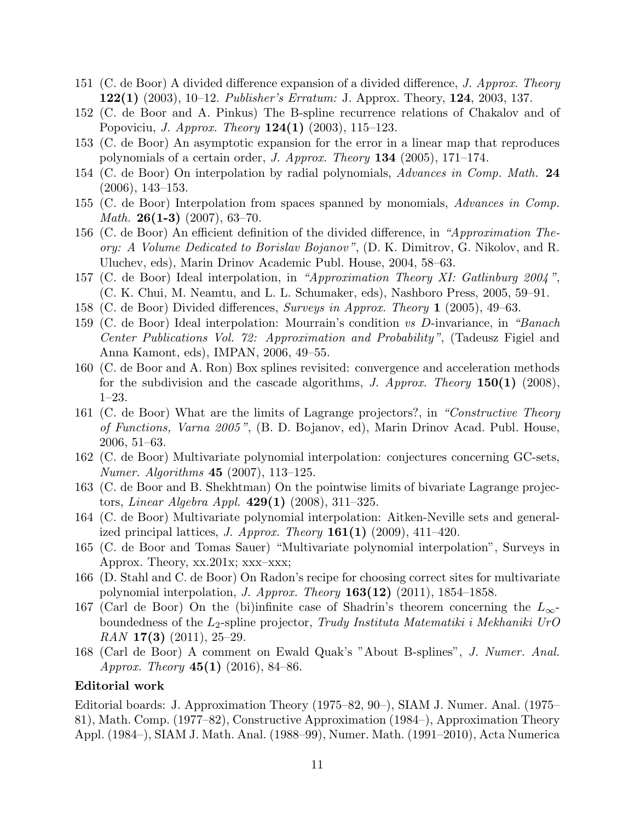- 151 (C. de Boor) A divided difference expansion of a divided difference, J. Approx. Theory **122(1)** (2003), 10–12. *Publisher's Erratum:* J. Approx. Theory, **124**, 2003, 137.
- 152 (C. de Boor and A. Pinkus) The B-spline recurrence relations of Chakalov and of Popoviciu, *J. Approx. Theory*  $124(1)$  (2003), 115–123.
- 153 (C. de Boor) An asymptotic expansion for the error in a linear map that reproduces polynomials of a certain order, *J. Approx. Theory* **134** (2005), 171–174.
- 154 (C. de Boor) On interpolation by radial polynomials, Advances in Comp. Math. 24 (2006), 143–153.
- 155 (C. de Boor) Interpolation from spaces spanned by monomials, Advances in Comp. *Math.* **26(1-3)** (2007), 63–70.
- 156 (C. de Boor) An efficient definition of the divided difference, in "Approximation Theory: A Volume Dedicated to Borislav Bojanov ", (D. K. Dimitrov, G. Nikolov, and R. Uluchev, eds), Marin Drinov Academic Publ. House, 2004, 58–63.
- 157 (C. de Boor) Ideal interpolation, in "Approximation Theory XI: Gatlinburg 2004 ", (C. K. Chui, M. Neamtu, and L. L. Schumaker, eds), Nashboro Press, 2005, 59–91.
- 158 (C. de Boor) Divided differences, Surveys in Approx. Theory 1 (2005), 49–63.
- 159 (C. de Boor) Ideal interpolation: Mourrain's condition vs D-invariance, in "Banach Center Publications Vol. 72: Approximation and Probability", (Tadeusz Figiel and Anna Kamont, eds), IMPAN, 2006, 49–55.
- 160 (C. de Boor and A. Ron) Box splines revisited: convergence and acceleration methods for the subdivision and the cascade algorithms, J. Approx. Theory 150(1) (2008), 1–23.
- 161 (C. de Boor) What are the limits of Lagrange projectors?, in "Constructive Theory of Functions, Varna 2005 ", (B. D. Bojanov, ed), Marin Drinov Acad. Publ. House, 2006, 51–63.
- 162 (C. de Boor) Multivariate polynomial interpolation: conjectures concerning GC-sets, Numer. Algorithms 45 (2007), 113–125.
- 163 (C. de Boor and B. Shekhtman) On the pointwise limits of bivariate Lagrange projectors, *Linear Algebra Appl.*  $429(1)$  (2008), 311–325.
- 164 (C. de Boor) Multivariate polynomial interpolation: Aitken-Neville sets and generalized principal lattices, *J. Approx. Theory* **161(1)** (2009), 411–420.
- 165 (C. de Boor and Tomas Sauer) "Multivariate polynomial interpolation", Surveys in Approx. Theory, xx.201x; xxx–xxx;
- 166 (D. Stahl and C. de Boor) On Radon's recipe for choosing correct sites for multivariate polynomial interpolation, *J. Approx. Theory* **163(12)** (2011), 1854–1858.
- 167 (Carl de Boor) On the (bi)infinite case of Shadrin's theorem concerning the  $L_{\infty}$ boundedness of the  $L_2$ -spline projector, Trudy Instituta Matematiki i Mekhaniki UrO  $RAN$  17(3) (2011), 25–29.
- 168 (Carl de Boor) A comment on Ewald Quak's "About B-splines", J. Numer. Anal. Approx. Theory  $45(1)$  (2016), 84–86.

#### Editorial work

Editorial boards: J. Approximation Theory (1975–82, 90–), SIAM J. Numer. Anal. (1975– 81), Math. Comp. (1977–82), Constructive Approximation (1984–), Approximation Theory Appl. (1984–), SIAM J. Math. Anal. (1988–99), Numer. Math. (1991–2010), Acta Numerica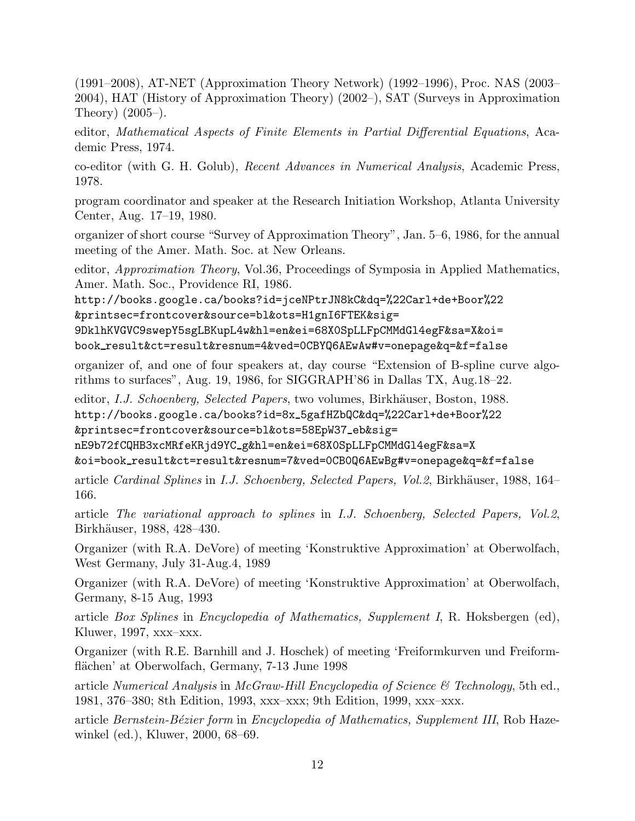(1991–2008), AT-NET (Approximation Theory Network) (1992–1996), Proc. NAS (2003– 2004), HAT (History of Approximation Theory) (2002–), SAT (Surveys in Approximation Theory) (2005–).

editor, Mathematical Aspects of Finite Elements in Partial Differential Equations, Academic Press, 1974.

co-editor (with G. H. Golub), Recent Advances in Numerical Analysis, Academic Press, 1978.

program coordinator and speaker at the Research Initiation Workshop, Atlanta University Center, Aug. 17–19, 1980.

organizer of short course "Survey of Approximation Theory", Jan. 5–6, 1986, for the annual meeting of the Amer. Math. Soc. at New Orleans.

editor, Approximation Theory, Vol.36, Proceedings of Symposia in Applied Mathematics, Amer. Math. Soc., Providence RI, 1986.

http://books.google.ca/books?id=jceNPtrJN8kC&dq=%22Carl+de+Boor%22 &printsec=frontcover&source=bl&ots=H1gnI6FTEK&sig=

9DklhKVGVC9swepY5sgLBKupL4w&hl=en&ei=68X0SpLLFpCMMdGl4egF&sa=X&oi= book result&ct=result&resnum=4&ved=0CBYQ6AEwAw#v=onepage&q=&f=false

organizer of, and one of four speakers at, day course "Extension of B-spline curve algorithms to surfaces", Aug. 19, 1986, for SIGGRAPH'86 in Dallas TX, Aug.18–22.

editor, I.J. Schoenberg, Selected Papers, two volumes, Birkhäuser, Boston, 1988. http://books.google.ca/books?id=8x 5gafHZbQC&dq=%22Carl+de+Boor%22 &printsec=frontcover&source=bl&ots=58EpW37 eb&sig=

nE9b72fCQHB3xcMRfeKRjd9YC g&hl=en&ei=68X0SpLLFpCMMdGl4egF&sa=X

&oi=book result&ct=result&resnum=7&ved=0CB0Q6AEwBg#v=onepage&q=&f=false

article Cardinal Splines in I.J. Schoenberg, Selected Papers, Vol.2, Birkhäuser, 1988, 164– 166.

article The variational approach to splines in I.J. Schoenberg, Selected Papers, Vol.2, Birkhäuser, 1988, 428–430.

Organizer (with R.A. DeVore) of meeting 'Konstruktive Approximation' at Oberwolfach, West Germany, July 31-Aug.4, 1989

Organizer (with R.A. DeVore) of meeting 'Konstruktive Approximation' at Oberwolfach, Germany, 8-15 Aug, 1993

article Box Splines in Encyclopedia of Mathematics, Supplement I, R. Hoksbergen (ed), Kluwer, 1997, xxx–xxx.

Organizer (with R.E. Barnhill and J. Hoschek) of meeting 'Freiformkurven und Freiformflächen' at Oberwolfach, Germany, 7-13 June 1998

article Numerical Analysis in McGraw-Hill Encyclopedia of Science  $\mathcal C$  Technology, 5th ed., 1981, 376–380; 8th Edition, 1993, xxx–xxx; 9th Edition, 1999, xxx–xxx.

article Bernstein-Bézier form in Encyclopedia of Mathematics, Supplement III, Rob Hazewinkel (ed.), Kluwer, 2000, 68–69.